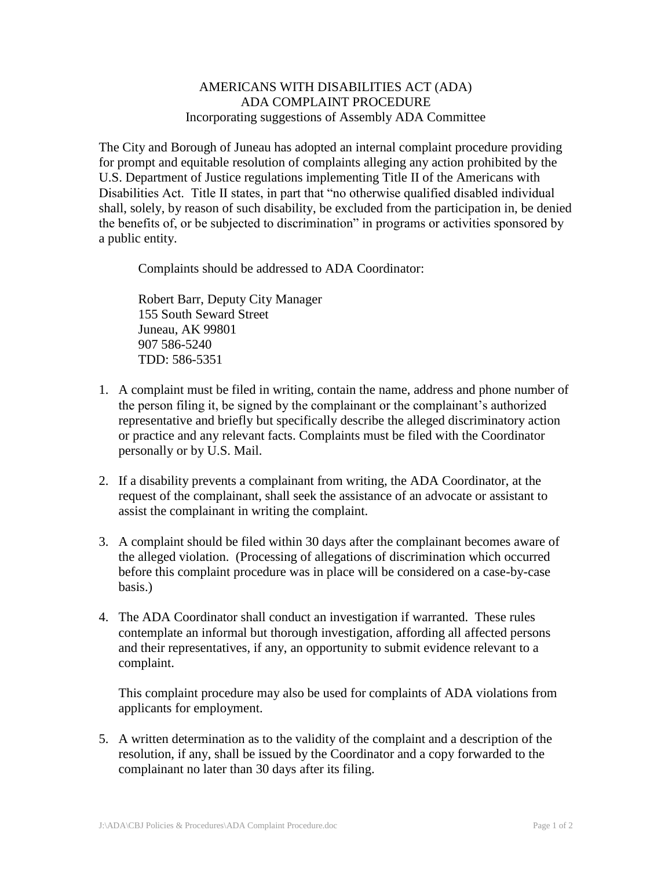## AMERICANS WITH DISABILITIES ACT (ADA) ADA COMPLAINT PROCEDURE Incorporating suggestions of Assembly ADA Committee

The City and Borough of Juneau has adopted an internal complaint procedure providing for prompt and equitable resolution of complaints alleging any action prohibited by the U.S. Department of Justice regulations implementing Title II of the Americans with Disabilities Act. Title II states, in part that "no otherwise qualified disabled individual shall, solely, by reason of such disability, be excluded from the participation in, be denied the benefits of, or be subjected to discrimination" in programs or activities sponsored by a public entity.

Complaints should be addressed to ADA Coordinator:

Robert Barr, Deputy City Manager 155 South Seward Street Juneau, AK 99801 907 586-5240 TDD: 586-5351

- 1. A complaint must be filed in writing, contain the name, address and phone number of the person filing it, be signed by the complainant or the complainant's authorized representative and briefly but specifically describe the alleged discriminatory action or practice and any relevant facts. Complaints must be filed with the Coordinator personally or by U.S. Mail.
- 2. If a disability prevents a complainant from writing, the ADA Coordinator, at the request of the complainant, shall seek the assistance of an advocate or assistant to assist the complainant in writing the complaint.
- 3. A complaint should be filed within 30 days after the complainant becomes aware of the alleged violation. (Processing of allegations of discrimination which occurred before this complaint procedure was in place will be considered on a case-by-case basis.)
- 4. The ADA Coordinator shall conduct an investigation if warranted. These rules contemplate an informal but thorough investigation, affording all affected persons and their representatives, if any, an opportunity to submit evidence relevant to a complaint.

This complaint procedure may also be used for complaints of ADA violations from applicants for employment.

5. A written determination as to the validity of the complaint and a description of the resolution, if any, shall be issued by the Coordinator and a copy forwarded to the complainant no later than 30 days after its filing.